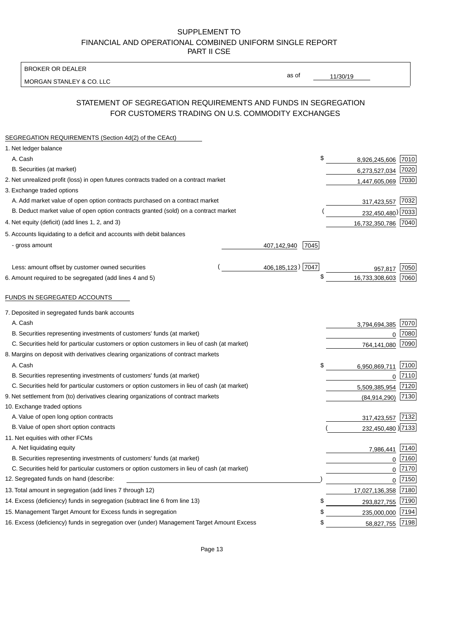BROKER OR DEALER

MORGAN STANLEY & CO. LLC

11/30/19

as of

# STATEMENT OF SEGREGATION REQUIREMENTS AND FUNDS IN SEGREGATION FOR CUSTOMERS TRADING ON U.S. COMMODITY EXCHANGES

| SEGREGATION REQUIREMENTS (Section 4d(2) of the CEAct)                                       |                     |      |                     |      |
|---------------------------------------------------------------------------------------------|---------------------|------|---------------------|------|
| 1. Net ledger balance                                                                       |                     |      |                     |      |
| A. Cash                                                                                     |                     | \$   | 8,926,245,606 7010  |      |
| B. Securities (at market)                                                                   |                     |      | 6,273,527,034       | 7020 |
| 2. Net unrealized profit (loss) in open futures contracts traded on a contract market       |                     |      | 1,447,605,069       | 7030 |
| 3. Exchange traded options                                                                  |                     |      |                     |      |
| A. Add market value of open option contracts purchased on a contract market                 |                     |      | 317,423,557 7032    |      |
| B. Deduct market value of open option contracts granted (sold) on a contract market         |                     |      | 232,450,480) 7033   |      |
| 4. Net equity (deficit) (add lines 1, 2, and 3)                                             |                     |      | 16,732,350,786 7040 |      |
| 5. Accounts liquidating to a deficit and accounts with debit balances                       |                     |      |                     |      |
| - gross amount                                                                              | 407,142,940         | 7045 |                     |      |
|                                                                                             |                     |      |                     |      |
| Less: amount offset by customer owned securities                                            | 406, 185, 123) 7047 |      | 957.817             | 7050 |
| 6. Amount required to be segregated (add lines 4 and 5)                                     |                     | \$   | 16,733,308,603      | 7060 |
| FUNDS IN SEGREGATED ACCOUNTS                                                                |                     |      |                     |      |
| 7. Deposited in segregated funds bank accounts                                              |                     |      |                     |      |
| A. Cash                                                                                     |                     |      | 3,794,694,385       | 7070 |
| B. Securities representing investments of customers' funds (at market)                      |                     |      | $\mathbf 0$         | 7080 |
| C. Securities held for particular customers or option customers in lieu of cash (at market) |                     |      | 764,141,080         | 7090 |
| 8. Margins on deposit with derivatives clearing organizations of contract markets           |                     |      |                     |      |
| A. Cash                                                                                     |                     | \$   | 6,950,869,711       | 7100 |
| B. Securities representing investments of customers' funds (at market)                      |                     |      | $\mathbf 0$         | 7110 |
| C. Securities held for particular customers or option customers in lieu of cash (at market) |                     |      | 5,509,385,954       | 7120 |
| 9. Net settlement from (to) derivatives clearing organizations of contract markets          |                     |      | (84, 914, 290)      | 7130 |
| 10. Exchange traded options                                                                 |                     |      |                     |      |
| A. Value of open long option contracts                                                      |                     |      | 317,423,557         | 7132 |
| B. Value of open short option contracts                                                     |                     |      | 232,450,480 2133    |      |
| 11. Net equities with other FCMs                                                            |                     |      |                     |      |
| A. Net liquidating equity                                                                   |                     |      | 7,986,441           | 7140 |
| B. Securities representing investments of customers' funds (at market)                      |                     |      | $\mathbf 0$         | 7160 |
| C. Securities held for particular customers or option customers in lieu of cash (at market) |                     |      | 0                   | 7170 |
| 12. Segregated funds on hand (describe:                                                     |                     |      | $\mathbf 0$         | 7150 |
| 13. Total amount in segregation (add lines 7 through 12)                                    |                     |      | 17,027,136,358      | 7180 |
| 14. Excess (deficiency) funds in segregation (subtract line 6 from line 13)                 |                     | S    | 293,827,755         | 7190 |
| 15. Management Target Amount for Excess funds in segregation                                |                     | \$   | 235,000,000         | 7194 |
| 16. Excess (deficiency) funds in segregation over (under) Management Target Amount Excess   |                     | \$   | 58,827,755          | 7198 |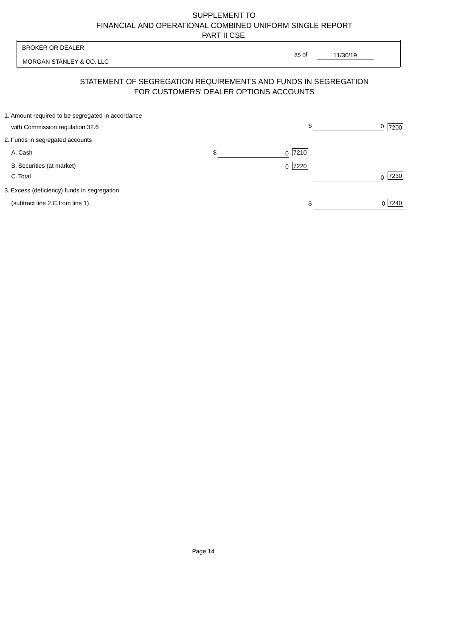| <b>BROKER OR DEALER</b>                           |                                        | as of                                                          |           |
|---------------------------------------------------|----------------------------------------|----------------------------------------------------------------|-----------|
| MORGAN STANLEY & CO. LLC                          |                                        | 11/30/19                                                       |           |
|                                                   | FOR CUSTOMERS' DEALER OPTIONS ACCOUNTS | STATEMENT OF SEGREGATION REQUIREMENTS AND FUNDS IN SEGREGATION |           |
| 1. Amount required to be segregated in accordance |                                        |                                                                |           |
| with Commission regulation 32.6                   |                                        | \$                                                             | $0$  7200 |
| 2. Funds in segregated accounts                   |                                        |                                                                |           |
| A. Cash                                           | \$                                     | $0$  7210                                                      |           |
| B. Securities (at market)                         |                                        | $0$  7220                                                      |           |
| C. Total                                          |                                        |                                                                | 7230<br>U |
| 3. Excess (deficiency) funds in segregation       |                                        |                                                                |           |
| (subtract line 2.C from line 1)                   |                                        | \$                                                             | 0 7240    |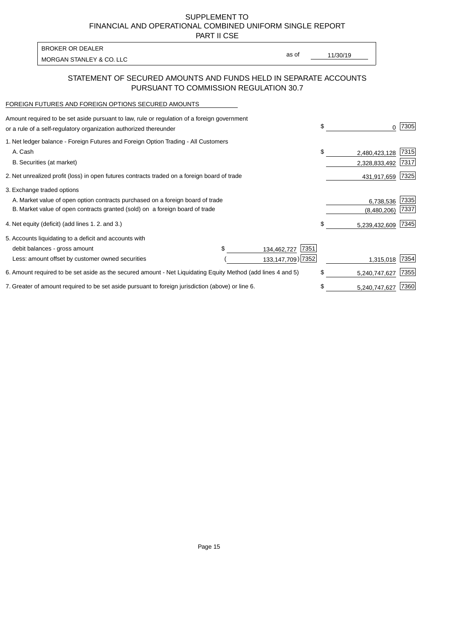PART II CSE

| BROKER OR DEALER         |       |          |
|--------------------------|-------|----------|
| MORGAN STANLEY & CO. LLC | as of | 11/30/19 |

### STATEMENT OF SECURED AMOUNTS AND FUNDS HELD IN SEPARATE ACCOUNTS PURSUANT TO COMMISSION REGULATION 30.7

#### FOREIGN FUTURES AND FOREIGN OPTIONS SECURED AMOUNTS

| Amount required to be set aside pursuant to law, rule or regulation of a foreign government<br>or a rule of a self-regulatory organization authorized thereunder |  |                     | \$<br>0             | 7305 |
|------------------------------------------------------------------------------------------------------------------------------------------------------------------|--|---------------------|---------------------|------|
| 1. Net ledger balance - Foreign Futures and Foreign Option Trading - All Customers                                                                               |  |                     |                     |      |
| A. Cash                                                                                                                                                          |  |                     | \$<br>2,480,423,128 | 7315 |
| B. Securities (at market)                                                                                                                                        |  |                     | 2,328,833,492       | 7317 |
| 2. Net unrealized profit (loss) in open futures contracts traded on a foreign board of trade                                                                     |  |                     | 431,917,659         | 7325 |
| 3. Exchange traded options                                                                                                                                       |  |                     |                     |      |
| A. Market value of open option contracts purchased on a foreign board of trade                                                                                   |  |                     | 6,738,536           | 7335 |
| B. Market value of open contracts granted (sold) on a foreign board of trade                                                                                     |  |                     | (8,480,206)         | 7337 |
| 4. Net equity (deficit) (add lines 1. 2. and 3.)                                                                                                                 |  |                     | \$<br>5,239,432,609 | 7345 |
| 5. Accounts liquidating to a deficit and accounts with                                                                                                           |  |                     |                     |      |
| debit balances - gross amount                                                                                                                                    |  | 7351<br>134,462,727 |                     |      |
| Less: amount offset by customer owned securities                                                                                                                 |  | 133,147,709) 7352   | 1,315,018           | 7354 |
| 6. Amount required to be set aside as the secured amount - Net Liquidating Equity Method (add lines 4 and 5)                                                     |  |                     | \$<br>5,240,747,627 | 7355 |
| 7. Greater of amount required to be set aside pursuant to foreign jurisdiction (above) or line 6.                                                                |  |                     | \$<br>5,240,747,627 | 7360 |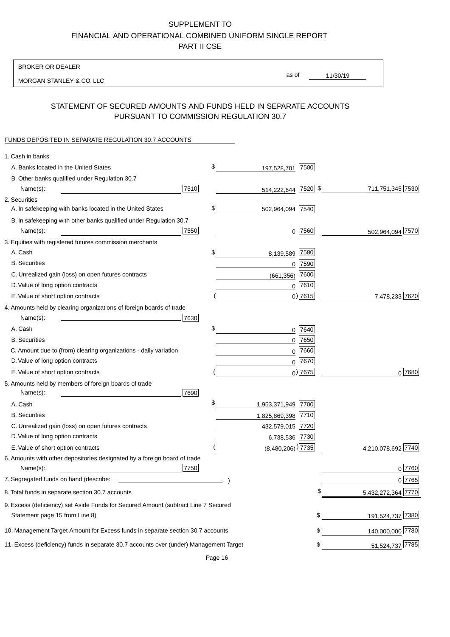BROKER OR DEALER

MORGAN STANLEY & CO. LLC

11/30/19 as of

## STATEMENT OF SECURED AMOUNTS AND FUNDS HELD IN SEPARATE ACCOUNTS PURSUANT TO COMMISSION REGULATION 30.7

## FUNDS DEPOSITED IN SEPARATE REGULATION 30.7 ACCOUNTS

| 1. Cash in banks                                                                       |      |                                 |      |                       |
|----------------------------------------------------------------------------------------|------|---------------------------------|------|-----------------------|
| A. Banks located in the United States                                                  | \$   | 197,528,701                     | 7500 |                       |
| B. Other banks qualified under Regulation 30.7                                         |      |                                 |      |                       |
| Name(s):                                                                               | 7510 | 514,222,644 7520 \$             |      | 711,751,345 7530      |
| 2. Securities                                                                          |      |                                 |      |                       |
| A. In safekeeping with banks located in the United States                              | \$   | 502,964,094 7540                |      |                       |
| B. In safekeeping with other banks qualified under Regulation 30.7                     |      |                                 |      |                       |
| Name(s):                                                                               | 7550 | $0$  7560                       |      | 502,964,094 7570      |
| 3. Equities with registered futures commission merchants                               |      |                                 |      |                       |
| A. Cash                                                                                | \$   | 8,139,589                       | 7580 |                       |
| <b>B.</b> Securities                                                                   |      | 0                               | 7590 |                       |
| C. Unrealized gain (loss) on open futures contracts                                    |      | (661, 356)                      | 7600 |                       |
| D. Value of long option contracts                                                      |      | $0$ 7610                        |      |                       |
| E. Value of short option contracts                                                     |      | $0)$ 7615                       |      | 7,478,233 7620        |
| 4. Amounts held by clearing organizations of foreign boards of trade                   |      |                                 |      |                       |
| Name(s):                                                                               | 7630 |                                 |      |                       |
| A. Cash                                                                                | \$   | 0                               | 7640 |                       |
| <b>B.</b> Securities                                                                   |      | $0$ 7650                        |      |                       |
| C. Amount due to (from) clearing organizations - daily variation                       |      | 0                               | 7660 |                       |
| D. Value of long option contracts                                                      |      | $0$ 7670                        |      |                       |
| E. Value of short option contracts                                                     |      | $0$ ) 7675                      |      | $0^{7680}$            |
| 5. Amounts held by members of foreign boards of trade<br>Name(s):                      | 7690 |                                 |      |                       |
| A. Cash                                                                                | \$   | 1,953,371,949 7700              |      |                       |
| <b>B.</b> Securities                                                                   |      | 1,825,869,398 7710              |      |                       |
| C. Unrealized gain (loss) on open futures contracts                                    |      | 432,579,015 7720                |      |                       |
| D. Value of long option contracts                                                      |      | 6,738,536 7730                  |      |                       |
| E. Value of short option contracts                                                     |      | $(8,480,206)$ <sup>[7735]</sup> |      | 7740<br>4,210,078,692 |
| 6. Amounts with other depositories designated by a foreign board of trade<br>Name(s):  | 7750 |                                 |      | $0$ 7760              |
| 7. Segregated funds on hand (describe:                                                 |      |                                 |      | 0 7765                |
| 8. Total funds in separate section 30.7 accounts                                       |      |                                 | Φ    | 5,432,272,364 7770    |
| 9. Excess (deficiency) set Aside Funds for Secured Amount (subtract Line 7 Secured     |      |                                 |      |                       |
| Statement page 15 from Line 8)                                                         |      |                                 | \$   | 191,524,737 7380      |
| 10. Management Target Amount for Excess funds in separate section 30.7 accounts        |      |                                 | \$   | 140,000,000 7780      |
| 11. Excess (deficiency) funds in separate 30.7 accounts over (under) Management Target |      |                                 | \$   | 51,524,737 7785       |